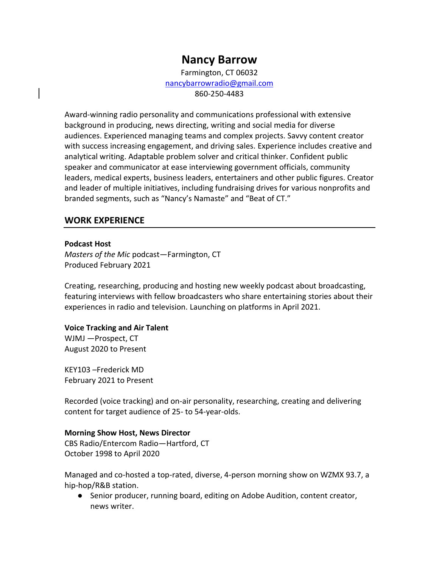# **Nancy Barrow**

Farmington, CT 06032 [nancybarrowradio@gmail.com](mailto:nancybarrowradio@gmail.com) 860-250-4483

Award-winning radio personality and communications professional with extensive background in producing, news directing, writing and social media for diverse audiences. Experienced managing teams and complex projects. Savvy content creator with success increasing engagement, and driving sales. Experience includes creative and analytical writing. Adaptable problem solver and critical thinker. Confident public speaker and communicator at ease interviewing government officials, community leaders, medical experts, business leaders, entertainers and other public figures. Creator and leader of multiple initiatives, including fundraising drives for various nonprofits and branded segments, such as "Nancy's Namaste" and "Beat of CT."

## **WORK EXPERIENCE**

#### **Podcast Host**

*Masters of the Mic* podcast—Farmington, CT Produced February 2021

Creating, researching, producing and hosting new weekly podcast about broadcasting, featuring interviews with fellow broadcasters who share entertaining stories about their experiences in radio and television. Launching on platforms in April 2021.

#### **Voice Tracking and Air Talent**

WJMJ —Prospect, CT August 2020 to Present

KEY103 –Frederick MD February 2021 to Present

Recorded (voice tracking) and on-air personality, researching, creating and delivering content for target audience of 25- to 54-year-olds.

#### **Morning Show Host, News Director**

CBS Radio/Entercom Radio—Hartford, CT October 1998 to April 2020

Managed and co-hosted a top-rated, diverse, 4-person morning show on WZMX 93.7, a hip-hop/R&B station.

● Senior producer, running board, editing on Adobe Audition, content creator, news writer.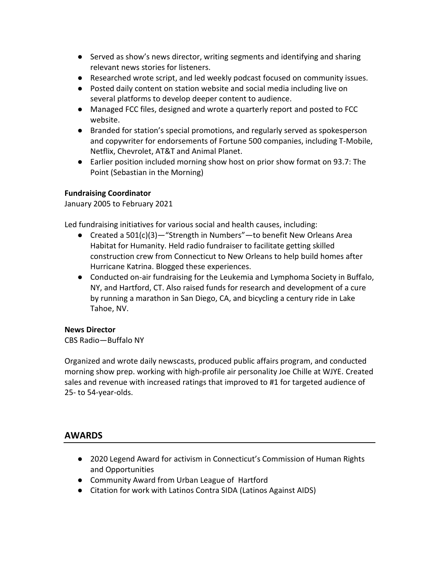- Served as show's news director, writing segments and identifying and sharing relevant news stories for listeners.
- Researched wrote script, and led weekly podcast focused on community issues.
- Posted daily content on station website and social media including live on several platforms to develop deeper content to audience.
- Managed FCC files, designed and wrote a quarterly report and posted to FCC website.
- Branded for station's special promotions, and regularly served as spokesperson and copywriter for endorsements of Fortune 500 companies, including T-Mobile, Netflix, Chevrolet, AT&T and Animal Planet.
- Earlier position included morning show host on prior show format on 93.7: The Point (Sebastian in the Morning)

## **Fundraising Coordinator**

January 2005 to February 2021

Led fundraising initiatives for various social and health causes, including:

- Created a 501(c)(3)—"Strength in Numbers"—to benefit New Orleans Area Habitat for Humanity. Held radio fundraiser to facilitate getting skilled construction crew from Connecticut to New Orleans to help build homes after Hurricane Katrina. Blogged these experiences.
- Conducted on-air fundraising for the Leukemia and Lymphoma Society in Buffalo, NY, and Hartford, CT. Also raised funds for research and development of a cure by running a marathon in San Diego, CA, and bicycling a century ride in Lake Tahoe, NV.

## **News Director**

CBS Radio—Buffalo NY

Organized and wrote daily newscasts, produced public affairs program, and conducted morning show prep. working with high-profile air personality Joe Chille at WJYE. Created sales and revenue with increased ratings that improved to #1 for targeted audience of 25- to 54-year-olds.

## **AWARDS**

- 2020 Legend Award for activism in Connecticut's Commission of Human Rights and Opportunities
- Community Award from Urban League of Hartford
- Citation for work with Latinos Contra SIDA (Latinos Against AIDS)